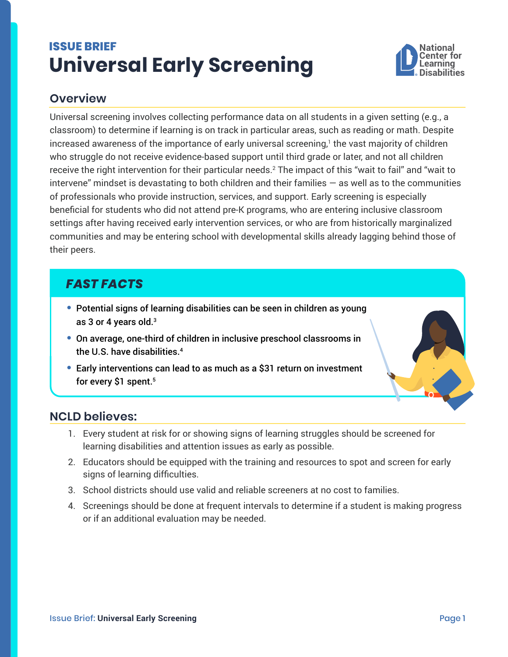# <span id="page-0-0"></span>**ISSUE BRIEF Universal Early Screening**



## **Overview**

Universal screening involves collecting performance data on all students in a given setting (e.g., a classroom) to determine if learning is on track in particular areas, such as reading or math. Despite increased awareness of the importance of early universal screening, $^{\rm t}$  the vast majority of children who struggle do not receive evidence-based support until third grade or later, and not all children receive the right intervention for their particular needs.[2](#page-1-0) The impact of this "wait to fail" and "wait to intervene" mindset is devastating to both children and their families  $-$  as well as to the communities of professionals who provide instruction, services, and support. Early screening is especially beneficial for students who did not attend pre-K programs, who are entering inclusive classroom settings after having received early intervention services, or who are from historically marginalized communities and may be entering school with developmental skills already lagging behind those of their peers.

## *FAST FACTS*

- **•** Potential signs of learning disabilities can be seen in children as young as 3 or 4 years old[.3](#page-1-0)
- **•** On average, one-third of children in inclusive preschool classrooms in the U.S. have disabilities.<sup>[4](#page-1-0)</sup>
- **•** Early interventions can lead to as much as a \$31 return on investment for every \$1 spent.<sup>5</sup>

#### **NCLD believes:**

- 1. Every student at risk for or showing signs of learning struggles should be screened for learning disabilities and attention issues as early as possible.
- 2. Educators should be equipped with the training and resources to spot and screen for early signs of learning difficulties.
- 3. School districts should use valid and reliable screeners at no cost to families.
- 4. Screenings should be done at frequent intervals to determine if a student is making progress or if an additional evaluation may be needed.